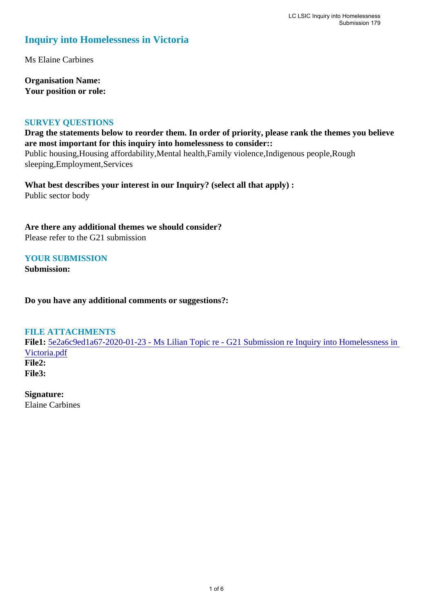# **Inquiry into Homelessness in Victoria**

Ms Elaine Carbines

**Organisation Name: Your position or role:** 

### **SURVEY QUESTIONS**

**Drag the statements below to reorder them. In order of priority, please rank the themes you believe are most important for this inquiry into homelessness to consider::**  Public housing,Housing affordability,Mental health,Family violence,Indigenous people,Rough sleeping,Employment,Services

**What best describes your interest in our Inquiry? (select all that apply) :**  Public sector body

**Are there any additional themes we should consider?** Please refer to the G21 submission

### **YOUR SUBMISSION**

**Submission:** 

**Do you have any additional comments or suggestions?:** 

### **FILE ATTACHMENTS**

**File1:** [5e2a6c9ed1a67-2020-01-23 - Ms Lilian Topic re - G21 Submission re Inquiry into Homelessness in](https://www.parliament.vic.gov.au/component/rsform/submission-view-file/5ae9b1e9cbc3efe688313126de7058fe/02169b3956d76ecfef3816fd7f724258?Itemid=527)  [Victoria.pdf](https://www.parliament.vic.gov.au/component/rsform/submission-view-file/5ae9b1e9cbc3efe688313126de7058fe/02169b3956d76ecfef3816fd7f724258?Itemid=527) **File2: File3:** 

**Signature:** Elaine Carbines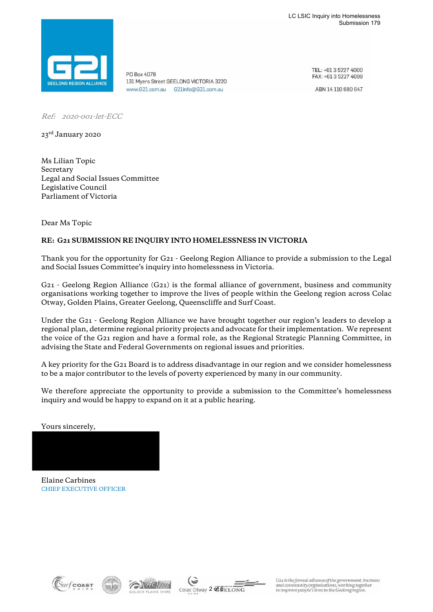

PO Box 4078 131 Myers Street GEELONG VICTORIA 3220 www.G21.com.au G21info@G21.com.au

TEL: +61 3 5227 4000 FAX: +61 3 5227 4099

ABN 14 110 680 647

Ref: 2020-001-let-ECC

23rd January 2020

Ms Lilian Topic Secretary Legal and Social Issues Committee Legislative Council Parliament of Victoria

Dear Ms Topic

### **RE: G21 SUBMISSION RE INQUIRY INTO HOMELESSNESS IN VICTORIA**

Thank you for the opportunity for G21 - Geelong Region Alliance to provide a submission to the Legal and Social Issues Committee's inquiry into homelessness in Victoria.

G21 - Geelong Region Alliance (G21) is the formal alliance of government, business and community organisations working together to improve the lives of people within the Geelong region across Colac Otway, Golden Plains, Greater Geelong, Queenscliffe and Surf Coast.

Under the G21 - Geelong Region Alliance we have brought together our region's leaders to develop a regional plan, determine regional priority projects and advocate for their implementation. We represent the voice of the G21 region and have a formal role, as the Regional Strategic Planning Committee, in advising the State and Federal Governments on regional issues and priorities.

A key priority for the G21 Board is to address disadvantage in our region and we consider homelessness to be a major contributor to the levels of poverty experienced by many in our community.

We therefore appreciate the opportunity to provide a submission to the Committee's homelessness inquiry and would be happy to expand on it at a public hearing.

Yours sincerely,

Elaine Carbines CHIEF EXECUTIVE OFFICER









 $\emph{G21} is the formal \emph{alliance} of the government, business \emph{and community organizations}, working together \emph{to improve people's lives in the Geelong region.}$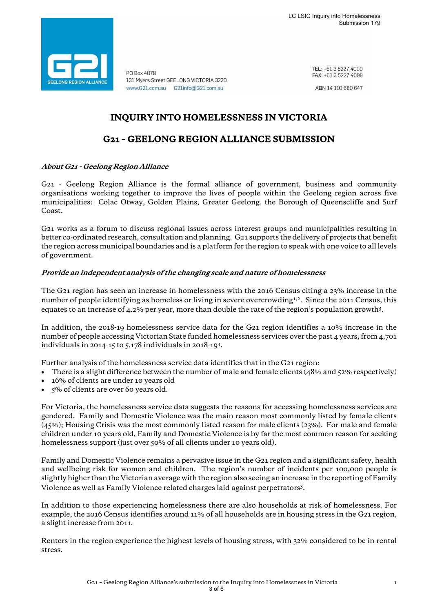

**PO Box 4078** 131 Myers Street GEELONG VICTORIA 3220 www.G21.com.au G21info@G21.com.au

TEL: +61 3 5227 4000 FAX: +61 3 5227 4099

ABN 14 110 680 647

# **INQUIRY INTO HOMELESSNESS IN VICTORIA**

# **G21 – GEELONG REGION ALLIANCE SUBMISSION**

### **About G21 - Geelong Region Alliance**

G21 - Geelong Region Alliance is the formal alliance of government, business and community organisations working together to improve the lives of people within the Geelong region across five municipalities: Colac Otway, Golden Plains, Greater Geelong, the Borough of Queenscliffe and Surf Coast.

G21 works as a forum to discuss regional issues across interest groups and municipalities resulting in better co-ordinated research, consultation and planning. G21 supports the delivery of projects that benefit the region across municipal boundaries and is a platform for the region to speak with one voice to all levels of government.

#### **Provide an independent analysis of the changing scale and nature of homelessness**

The G21 region has seen an increase in homelessness with the 2016 Census citing a 23% increase in the number of people identifying as homeless or living in severe overcrowding<sup>1,2</sup>. Since the 2011 Census, this equates to an increase of 4.2% per year, more than double the rate of the region's population growth3.

In addition, the 2018-19 homelessness service data for the G21 region identifies a 10% increase in the number of people accessing Victorian State funded homelessness services over the past 4 years, from 4,701 individuals in 2014-15 to 5,178 individuals in 2018-194.

Further analysis of the homelessness service data identifies that in the G21 region:

- There is a slight difference between the number of male and female clients (48% and 52% respectively)
- 16% of clients are under 10 years old
- 5% of clients are over 60 years old.

For Victoria, the homelessness service data suggests the reasons for accessing homelessness services are gendered. Family and Domestic Violence was the main reason most commonly listed by female clients (45%); Housing Crisis was the most commonly listed reason for male clients (23%). For male and female children under 10 years old, Family and Domestic Violence is by far the most common reason for seeking homelessness support (just over 50% of all clients under 10 years old).

Family and Domestic Violence remains a pervasive issue in the G21 region and a significant safety, health and wellbeing risk for women and children. The region's number of incidents per 100,000 people is slightly higher than the Victorian average with the region also seeing an increase in the reporting of Family Violence as well as Family Violence related charges laid against perpetrators3.

In addition to those experiencing homelessness there are also households at risk of homelessness. For example, the 2016 Census identifies around 11% of all households are in housing stress in the G21 region, a slight increase from 2011.

Renters in the region experience the highest levels of housing stress, with 32% considered to be in rental stress.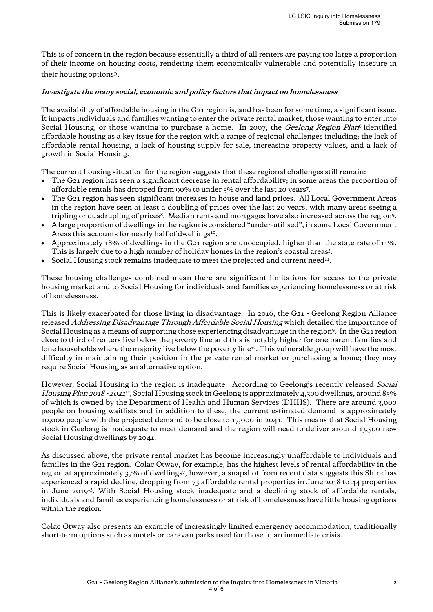This is of concern in the region because essentially a third of all renters are paying too large a proportion of their income on housing costs, rendering them economically vulnerable and potentially insecure in their housing options5.

### **Investigate the many social, economic and policy factors that impact on homelessness**

The availability of affordable housing in the G21 region is, and has been for some time, a significant issue. It impacts individuals and families wanting to enter the private rental market, those wanting to enter into Social Housing, or those wanting to purchase a home. In 2007, the *Geelong Region Plan*<sup>6</sup> identified affordable housing as a key issue for the region with a range of regional challenges including: the lack of affordable rental housing, a lack of housing supply for sale, increasing property values, and a lack of growth in Social Housing.

The current housing situation for the region suggests that these regional challenges still remain:

- The G21 region has seen a significant decrease in rental affordability; in some areas the proportion of affordable rentals has dropped from 90% to under 5% over the last 20 years7.
- The G21 region has seen significant increases in house and land prices. All Local Government Areas in the region have seen at least a doubling of prices over the last 20 years, with many areas seeing a tripling or quadrupling of prices<sup>8</sup>. Median rents and mortgages have also increased across the region<sup>9</sup>.
- A large proportion of dwellings in the region is considered "under-utilised", in some Local Government Areas this accounts for nearly half of dwellings<sup>10</sup>.
- Approximately 18% of dwellings in the G21 region are unoccupied, higher than the state rate of 11%. This is largely due to a high number of holiday homes in the region's coastal areas3.
- $\bullet$  Social Housing stock remains inadequate to meet the projected and current need<sup>11</sup>.

These housing challenges combined mean there are significant limitations for access to the private housing market and to Social Housing for individuals and families experiencing homelessness or at risk of homelessness.

This is likely exacerbated for those living in disadvantage. In 2016, the G21 - Geelong Region Alliance released Addressing Disadvantage Through Affordable Social Housing which detailed the importance of Social Housing as a means of supporting those experiencing disadvantage in the region<sup>9</sup>. In the G21 region close to third of renters live below the poverty line and this is notably higher for one parent families and lone households where the majority live below the poverty line<sup>12</sup>. This vulnerable group will have the most difficulty in maintaining their position in the private rental market or purchasing a home; they may require Social Housing as an alternative option.

However, Social Housing in the region is inadequate. According to Geelong's recently released Social Housing Plan 2018 - 2041<sup>11</sup>, Social Housing stock in Geelong is approximately 4,300 dwellings, around 85% of which is owned by the Department of Health and Human Services (DHHS). There are around 3,000 people on housing waitlists and in addition to these, the current estimated demand is approximately 10,000 people with the projected demand to be close to 17,000 in 2041. This means that Social Housing stock in Geelong is inadequate to meet demand and the region will need to deliver around 13,500 new Social Housing dwellings by 2041.

As discussed above, the private rental market has become increasingly unaffordable to individuals and families in the G21 region. Colac Otway, for example, has the highest levels of rental affordability in the region at approximately 37% of dwellings7, however, a snapshot from recent data suggests this Shire has experienced a rapid decline, dropping from 73 affordable rental properties in June 2018 to 44 properties in June 2019<sup>13</sup>. With Social Housing stock inadequate and a declining stock of affordable rentals, individuals and families experiencing homelessness or at risk of homelessness have little housing options within the region.

Colac Otway also presents an example of increasingly limited emergency accommodation, traditionally short-term options such as motels or caravan parks used for those in an immediate crisis.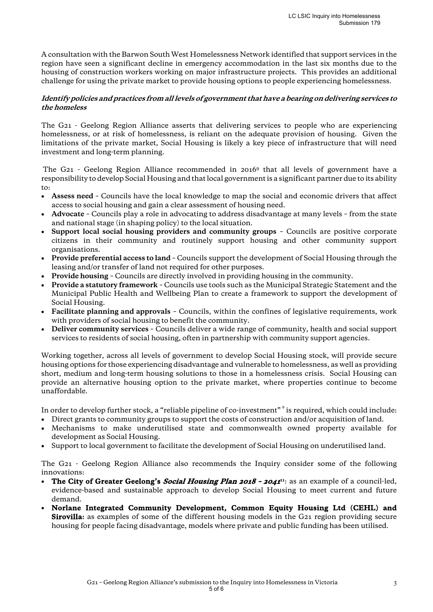A consultation with the Barwon South West Homelessness Network identified that support services in the region have seen a significant decline in emergency accommodation in the last six months due to the housing of construction workers working on major infrastructure projects. This provides an additional challenge for using the private market to provide housing options to people experiencing homelessness.

#### **Identify policies and practices from all levels of government that have a bearing on delivering services to the homeless**

The G21 - Geelong Region Alliance asserts that delivering services to people who are experiencing homelessness, or at risk of homelessness, is reliant on the adequate provision of housing. Given the limitations of the private market, Social Housing is likely a key piece of infrastructure that will need investment and long-term planning.

 The G21 - Geelong Region Alliance recommended in 20169 that all levels of government have a responsibility to develop Social Housing and that local government is a significant partner due to its ability to:

- **Assess need**  Councils have the local knowledge to map the social and economic drivers that affect access to social housing and gain a clear assessment of housing need.
- **Advocate** Councils play a role in advocating to address disadvantage at many levels from the state and national stage (in shaping policy) to the local situation.
- **Support local social housing providers and community groups** Councils are positive corporate citizens in their community and routinely support housing and other community support organisations.
- **Provide preferential access to land**  Councils support the development of Social Housing through the leasing and/or transfer of land not required for other purposes.
- **Provide housing** Councils are directly involved in providing housing in the community.
- **Provide a statutory framework** Councils use tools such as the Municipal Strategic Statement and the Municipal Public Health and Wellbeing Plan to create a framework to support the development of Social Housing.
- **Facilitate planning and approvals** Councils, within the confines of legislative requirements, work with providers of social housing to benefit the community.
- **Deliver community services**  Councils deliver a wide range of community, health and social support services to residents of social housing, often in partnership with community support agencies.

Working together, across all levels of government to develop Social Housing stock, will provide secure housing options for those experiencing disadvantage and vulnerable to homelessness, as well as providing short, medium and long-term housing solutions to those in a homelessness crisis. Social Housing can provide an alternative housing option to the private market, where properties continue to become unaffordable.

In order to develop further stock, a "reliable pipeline of co-investment"  $^9$  is required, which could include:

- Direct grants to community groups to support the costs of construction and/or acquisition of land.
- Mechanisms to make underutilised state and commonwealth owned property available for development as Social Housing.
- Support to local government to facilitate the development of Social Housing on underutilised land.

The G21 - Geelong Region Alliance also recommends the Inquiry consider some of the following innovations:

- **The City of Greater Geelong's Social Housing Plan 2018 2041<sup>11</sup>**: as an example of a council-led, evidence-based and sustainable approach to develop Social Housing to meet current and future demand.
- **Norlane Integrated Community Development, Common Equity Housing Ltd (CEHL) and Sirovilla:** as examples of some of the different housing models in the G21 region providing secure housing for people facing disadvantage, models where private and public funding has been utilised.